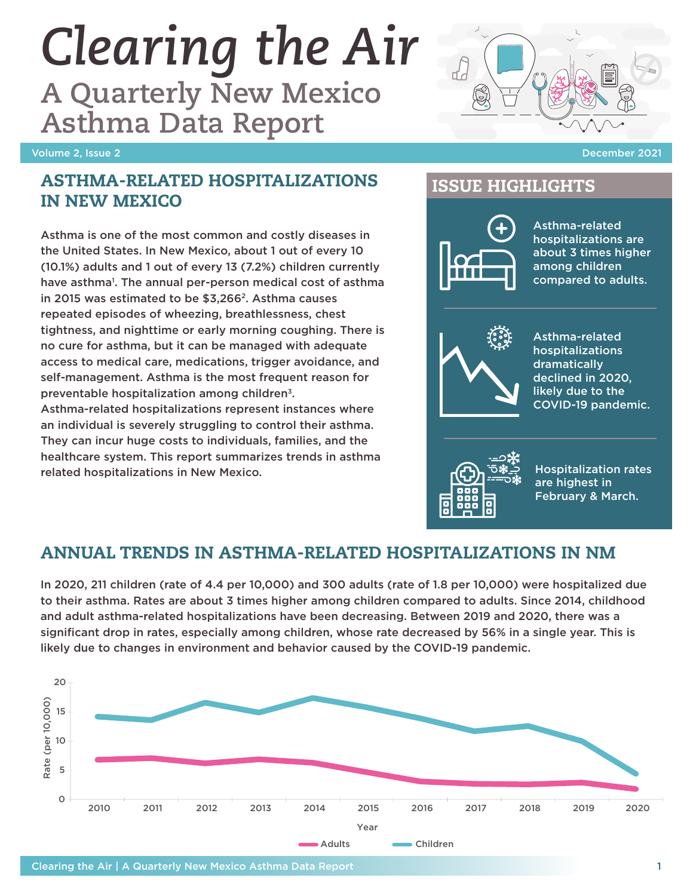#### Clearing the Air | A Quarterly New Mexico Asthma Data Report 1

# *Clearing the Air*

**A Quarterly New Mexico Asthma Data Report**

#### Volume 2, Issue 2 December 2021

#### ASTHMA-RELATED HOSPITALIZATIONS IN NEW MEXICO

Asthma is one of the most common and costly diseases in the United States. In New Mexico, about 1 out of every 10 (10.1%) adults and 1 out of every 13 (7.2%) children currently have asthma<sup>1</sup>. The annual per-person medical cost of asthma in 2015 was estimated to be \$3,266<sup>2</sup>. Asthma causes repeated episodes of wheezing, breathlessness, chest tightness, and nighttime or early morning coughing. There is no cure for asthma, but it can be managed with adequate access to medical care, medications, trigger avoidance, and self-management. Asthma is the most frequent reason for preventable hospitalization among children3.

Asthma-related hospitalizations represent instances where an individual is severely struggling to control their asthma. They can incur huge costs to individuals, families, and the healthcare system. This report summarizes trends in asthma related hospitalizations in New Mexico.

## ISSUE HIGHLIGHTS



Asthma-related hospitalizations are about 3 times higher among children compared to adults.



Asthma-related hospitalizations dramatically declined in 2020, likely due to the COVID-19 pandemic.



Hospitalization rates are highest in February & March.

## ANNUAL TRENDS IN ASTHMA-RELATED HOSPITALIZATIONS IN NM

In 2020, 211 children (rate of 4.4 per 10,000) and 300 adults (rate of 1.8 per 10,000) were hospitalized due to their asthma. Rates are about 3 times higher among children compared to adults. Since 2014, childhood and adult asthma-related hospitalizations have been decreasing. Between 2019 and 2020, there was a significant drop in rates, especially among children, whose rate decreased by 56% in a single year. This is likely due to changes in environment and behavior caused by the COVID-19 pandemic.





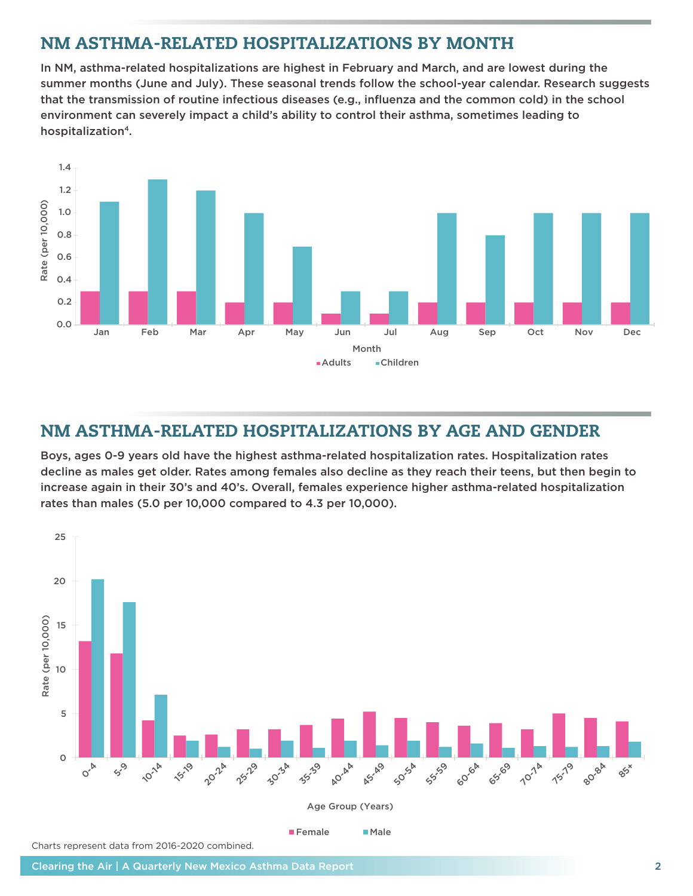## NM ASTHMA-RELATED HOSPITALIZATIONS BY MONTH

In NM, asthma-related hospitalizations are highest in February and March, and are lowest during the summer months (June and July). These seasonal trends follow the school-year calendar. Research suggests that the transmission of routine infectious diseases (e.g., influenza and the common cold) in the school environment can severely impact a child's ability to control their asthma, sometimes leading to hospitalization<sup>4</sup>.



## NM ASTHMA-RELATED HOSPITALIZATIONS BY AGE AND GENDER

Boys, ages 0-9 years old have the highest asthma-related hospitalization rates. Hospitalization rates decline as males get older. Rates among females also decline as they reach their teens, but then begin to increase again in their 30's and 40's. Overall, females experience higher asthma-related hospitalization rates than males (5.0 per 10,000 compared to 4.3 per 10,000).

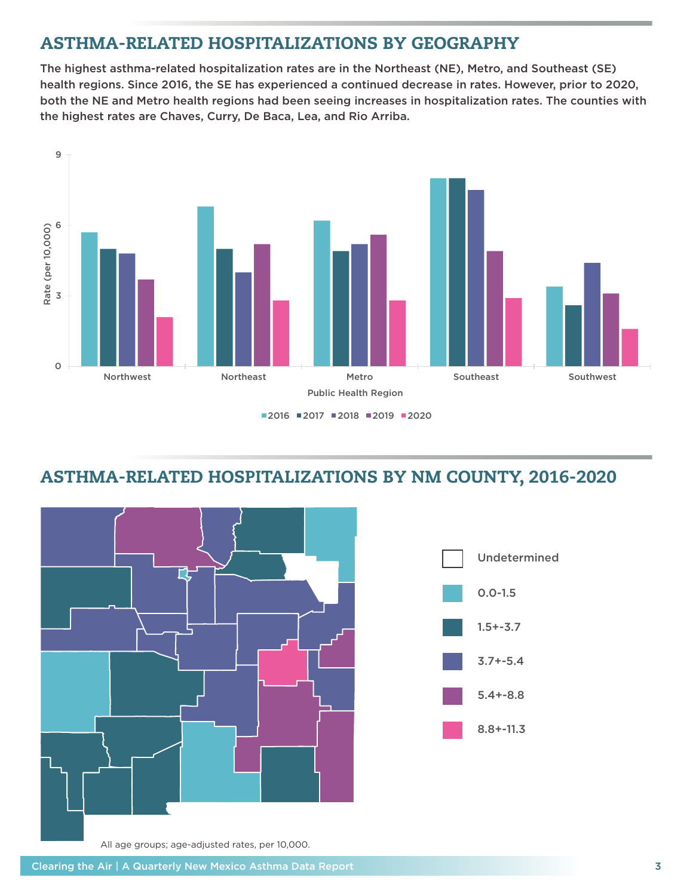## ASTHMA-RELATED HOSPITALIZATIONS BY GEOGRAPHY

The highest asthma-related hospitalization rates are in the Northeast (NE), Metro, and Southeast (SE) health regions. Since 2016, the SE has experienced a continued decrease in rates. However, prior to 2020, both the NE and Metro health regions had been seeing increases in hospitalization rates. The counties with the highest rates are Chaves, Curry, De Baca, Lea, and Rio Arriba.



■2016 ■2017 ■2018 ■2019 ■2020

## ASTHMA-RELATED HOSPITALIZATIONS BY NM COUNTY, 2016-2020